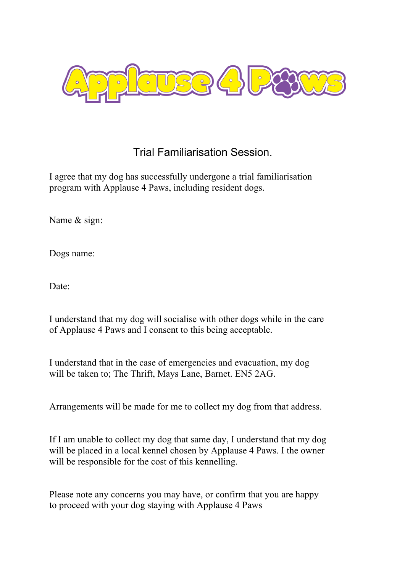

## Trial Familiarisation Session.

I agree that my dog has successfully undergone a trial familiarisation program with Applause 4 Paws, including resident dogs.

Name & sign:

Dogs name:

Date:

I understand that my dog will socialise with other dogs while in the care of Applause 4 Paws and I consent to this being acceptable.

I understand that in the case of emergencies and evacuation, my dog will be taken to; The Thrift, Mays Lane, Barnet. EN5 2AG.

Arrangements will be made for me to collect my dog from that address.

If I am unable to collect my dog that same day, I understand that my dog will be placed in a local kennel chosen by Applause 4 Paws. I the owner will be responsible for the cost of this kennelling.

Please note any concerns you may have, or confirm that you are happy to proceed with your dog staying with Applause 4 Paws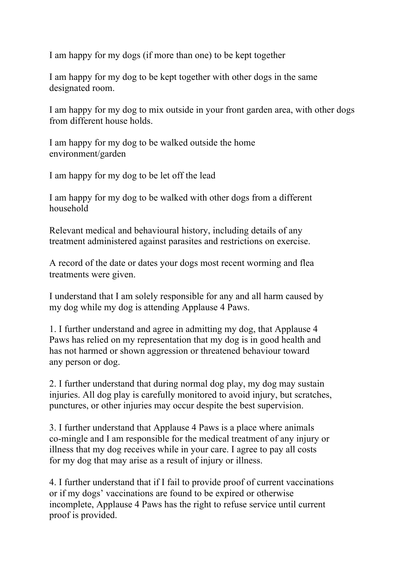I am happy for my dogs (if more than one) to be kept together

I am happy for my dog to be kept together with other dogs in the same designated room.

I am happy for my dog to mix outside in your front garden area, with other dogs from different house holds.

I am happy for my dog to be walked outside the home environment/garden

I am happy for my dog to be let off the lead

I am happy for my dog to be walked with other dogs from a different household

Relevant medical and behavioural history, including details of any treatment administered against parasites and restrictions on exercise.

A record of the date or dates your dogs most recent worming and flea treatments were given.

I understand that I am solely responsible for any and all harm caused by my dog while my dog is attending Applause 4 Paws.

1. I further understand and agree in admitting my dog, that Applause 4 Paws has relied on my representation that my dog is in good health and has not harmed or shown aggression or threatened behaviour toward any person or dog.

2. I further understand that during normal dog play, my dog may sustain injuries. All dog play is carefully monitored to avoid injury, but scratches, punctures, or other injuries may occur despite the best supervision.

3. I further understand that Applause 4 Paws is a place where animals co-mingle and I am responsible for the medical treatment of any injury or illness that my dog receives while in your care. I agree to pay all costs for my dog that may arise as a result of injury or illness.

4. I further understand that if I fail to provide proof of current vaccinations or if my dogs' vaccinations are found to be expired or otherwise incomplete, Applause 4 Paws has the right to refuse service until current proof is provided.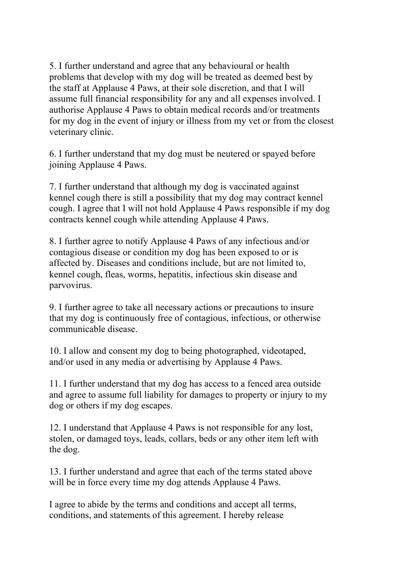5. I further understand and agree that any behavioural or health problems that develop with my dog will be treated as deemed best by the staff at Applause 4 Paws, at their sole discretion, and that I will assume full financial responsibility for any and all expenses involved. I authorise Applause 4 Paws to obtain medical records and/or treatments for my dog in the event of injury or illness from my vet or from the closest veterinary clinic.

6. I further understand that my dog must be neutered or spayed before joining Applause 4 Paws.

7. I further understand that although my dog is vaccinated against kennel cough there is still a possibility that my dog may contract kennel cough. I agree that I will not hold Applause 4 Paws responsible if my dog contracts kennel cough while attending Applause 4 Paws.

8. I further agree to notify Applause 4 Paws of any infectious and/or contagious disease or condition my dog has been exposed to or is affected by. Diseases and conditions include, but are not limited to, kennel cough, fleas, worms, hepatitis, infectious skin disease and parvovirus.

9. I further agree to take all necessary actions or precautions to insure that my dog is continuously free of contagious, infectious, or otherwise communicable disease.

10. I allow and consent my dog to being photographed, videotaped, and/or used in any media or advertising by Applause 4 Paws.

11. I further understand that my dog has access to a fenced area outside and agree to assume full liability for damages to property or injury to my dog or others if my dog escapes.

12. I understand that Applause 4 Paws is not responsible for any lost, stolen, or damaged toys, leads, collars, beds or any other item left with the dog.

13. I further understand and agree that each of the terms stated above will be in force every time my dog attends Applause 4 Paws.

I agree to abide by the terms and conditions and accept all terms, conditions, and statements of this agreement. I hereby release